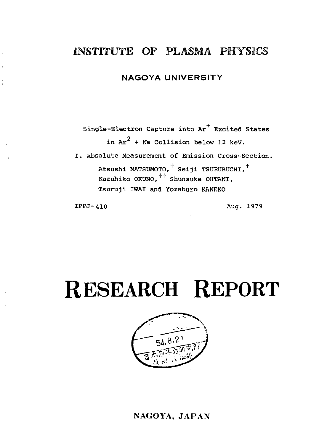## INSTITUTE OF PLASMA PHYSICS

### **NAGOYA UNIVERSITY**

Single-Electron Capture into Ar<sup>+</sup> Excited States in  $Ar^2$  + Na Collision below 12 keV. I. Absolute Measurement of Emission Cross-Section.

Atsushi MATSUMOTO, $^{\dagger}$  Seiji TSURUBUCHI, $^{\dagger}$ Kazuhiko OKUNO,  $^{++}$  Shunsuke OHTANI. Tsuruji IWAI and Yozaburo KANEKO

**IPPJ-410** Aug. 1979

# **RESEARCH REPORT**



## NAGOYA, JAPAN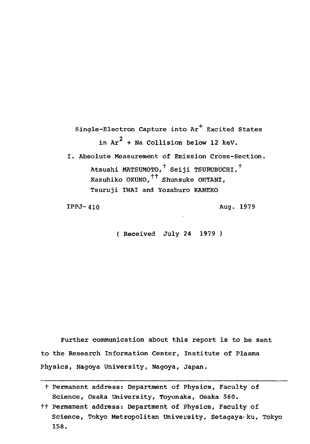Single-Electron Capture into Ar<sup>+</sup> Excited States in Ar $^2$  + Na Collision below 12 keV. I. Absolute Measurement of Emission Cross-Section. Atsushi MATSUMOTO,<sup>†</sup> Seiji TSURUBUCHI,<sup>†</sup> Kazuhiko OKUNO. $+$ <sup>++</sup> Shunsuke OHTANI, Tsuruji IWAI and Yozaburo KANEKO

IPPJ-410 Aug. 1979

( Received July 24 1979 )

Further communication about this report is to be sent to the Research Information Center, Institute of Plasma Physics, Nagoya University, Nagoya, Japan.

t Permanent address: Department of Physics, Faculty of Science, Osaka University, Toyonaka, Osaka 560.

tt Permanent address: Department of Physics, Faculty of Science, Tokyo Metropolitan University, Setagaya-ku, Tokyo 158.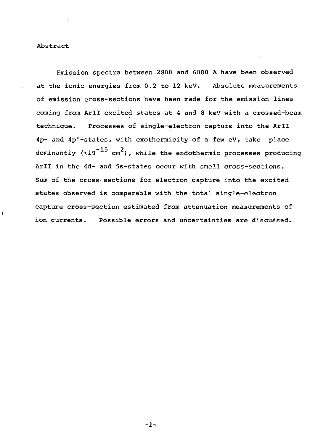#### Abstract

Emission spectra between 2800 and 6000 A have been observed at the ionic energies from 0.2 to 12 keV. Absolute measurements of emission cross-sections have been made for the emission lines coming from Aril excited states at 4 and 8 keV with a crossed-beam technique. Processes of single-electron capture into the Aril 4p- and 4p'-states, with exothermicity of a few eV, take place dominantly  $(\sqrt{10}^{-15} \text{ cm}^2)$ , while the endothermic processes producing Aril in the 4d- and 5s-states occur with small cross-sections. Sum of the cross-sections for electron capture into the excited states observed is comparable with the total single-electron capture cross-section estimated from attenuation measurements of ion currents. Possible errors and uncertainties are discussed.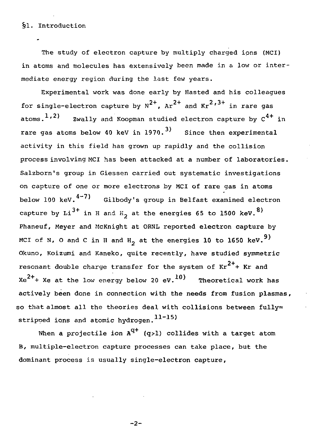#### §1. Introduction

The study of electron capture by multiply charged ions (MCI) in atoms and molecules has extensively been made in a low or intermediate energy region during the last few years.

Experimental work was done early by Hasted and his colleagues for single-electron capture by  $N^{2+}$ ,  $Ar^{2+}$  and  $Kr^{2+3+}$  in rare gas atoms.<sup>1,2)</sup> zwally and Xoopman studied electron capture by  $C^{4+}$  in rare gas atoms below 40 keV in 1970.<sup>3)</sup> Since then experimental activity in this field has grown up rapidly and the collision process involving MCI has been attacked at a number of laboratories. Salzborn's group in Giessen carried out systematic investigations on capture of one or more electrons by MCI of rare gas in atoms below 100 keV.<sup>4-7)</sup> Gilbody's group in Belfast examined electron capture by  $Li^{3+}$  in H and H<sub>2</sub> at the energies 65 to 1500 keV.<sup>8)</sup> Phaneuf, Meyer and McKnight at ORNL reported electron capture by MCI of N, O and C in H and H<sub>2</sub> at the energies 10 to 1650 keV.<sup>9)</sup> Okuno, Koizumi and Kaneko, quite recently, have studied symmetric resonant double charge transfer for the system of  $Kr^{2+}$  Kr and  $Xe^{2+}$  Xe at the low energy below 20 eV.  $10$  Theoretical work has actively been done in connection with the needs from fusion plasmas, so that almost all the theories deal with collisions between fully= stripped ions and atomic hydrogen.<sup>11-15)</sup>

When a projectile ion  $A^{q+}$  (q>l) collides with a target atom B, multiple-electron capture processes can take place, but the dominant process is usually single-electron capture,

 $-2-$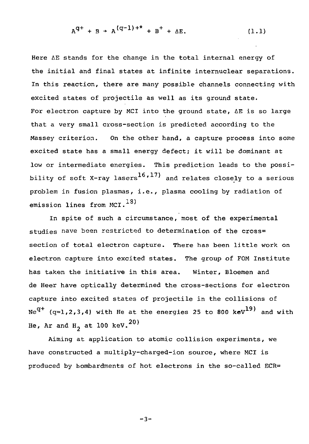$$
A^{q+} + B \rightarrow A^{(q-1)+*} + B^{+} + \Delta E.
$$
 (1.1)

Here AE stands for the change in the total internal energy of the initial and final states at infinite internuclear separations. In this reaction, there are many possible channels connecting with excited states of projectile as well as its ground state. For electron capture by MCI into the ground state, AE is so large that a very small cross-section is predicted according to the Massey criterion. On the other hand, a capture process into some excited state has a small energy defect; it will be dominant at low or intermediate energies. This prediction leads to the possibility of soft X-ray lasers<sup>16,17</sup> and relates closely to a serious problem in fusion plasmas, i.e., plasma cooling by radiation of emission lines from MCI. $^{13)}$ 

In spite of such a circumstance, most of the experimental studies have been restricted to determination of the cross= section of total electron capture. There has been little work on electron capture into excited states. The group of FOM Institute has taken the initiative in this area. Winter, Bloemen and de Heer have optically determined the cross-sections for electron capture into excited states of projectile in the collisions of  $Ne^{q+}$  (q=1,2,3,4) with He at the energies 25 to 800 keV<sup>19)</sup> and with He, Ar and H<sub>2</sub> at 100 keV.<sup>20)</sup>

Aiming at application to atomic collision experiments, we have constructed a multiply-charged-ion source, where MCI is produced by bombardments of hot electrons in the so-called ECR=

 $-3-$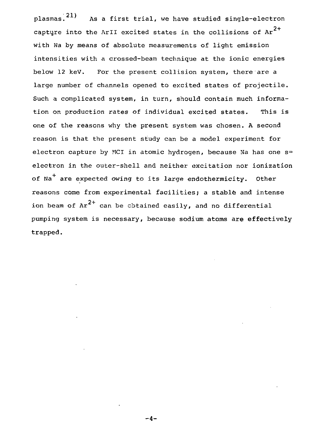plasmas.<sup>21</sup> As a first trial, we have studied single-electron capture into the ArII excited states in the collisions of  $Ar^{2+}$ with Na by means of absolute measurements of light emission intensities with a crossed-beam technique at the ionic energies below 12 keV. For the present collision system, there are a large number of channels opened to excited states of projectile. Such a complicated system, in turn, should contain much information on production rates of individual excited states. This is one of the reasons why the present system was chosen. A second reason is that the present study can be a model experiment for electron capture by MCI in atomic hydrogen, because Na has one  $s=$ electron in the outer-shell and neither excitation nor ionization of Na<sup>+</sup> are expected owing to its large endothermicity. Other reasons come from experimental facilities; a stable and intense ion beam of  $Ar^{2+}$  can be obtained easily, and no differential pumping system is necessary, because sodium atoms are effectively pumping system is necessary, because sodium **atoms are effectively**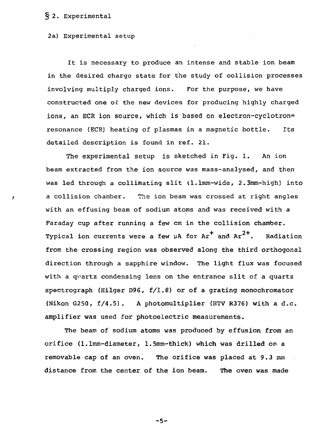#### § 2. Experimental

#### 2a) Experimental setup

It is necessary to produce an intense and stable ion beam in the desired charge state for the study of collision processes involving multiply charged ions. For the purpose, we have constructed one of the new devices for producing highly charged ions, an ECR ion source, which is based on electron-cyclotron= resonance (ECR) heating of plasmas in a magnetic bottle. Its detailed description is found in ref. 21.

The experimental setup is sketched in Fig. 1. An ion beam extracted from the ion source was mass-analysed, and then was led through a collimating slit (l.lmm-wide, 2.3mm-high) into a collision chamber. The ion beam was crossed at right angles with an effusing beam of sodium atoms and was received with a Faraday cup after running a few cm in the collision chamber. Typical ion currents were a few  $\mu$ A for Ar $^+$  and Ar $^{2+}.$  Radiation from the crossing region was observed along the third orthogonal direction through a sapphire window. The light flux was focused with a qvartz condensing lens on the entrance slit of a quartz spectrograph (Hilger D96, f/1.8) or of a grating monochromator (Nikon G250, f/4.5). A photomultiplier (HTV R376) with a d.c. amplifier was used for photoelectric measurements.

The beam of sodium atoms was produced by effusion from an orifice (l.lmm-diameter, 1.5mm-thick) which was drilled on a removable cap of an oven. The orifice was placed at 9.3 mm distance from the center of the ion beam. The oven was made

 $-5-$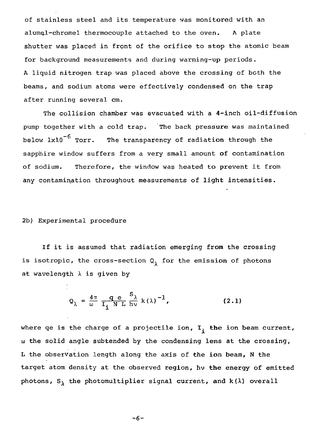of stainless steel and its temperature was monitored with an alumel-chromel thermocouple attached to the oven. A plate shutter was placed in front of the orifice to stop the atomic beam for background measurements and during warming-up periods. A liquid nitrogen trap was placed above the crossing of both the beams, and sodium atoms were effectively condensed on the trap after running several cm.

The collision chamber was evacuated with a 4-inch oil-diffusion pump together with a cold trap. The back pressure was maintained below  $1x10^{-6}$  Torr. The transparency of radiation through the sapphire window suffers from a very small amount of contamination of sodium. Therefore, the window was heated to prevent it from any contamination throughout measurements of light intensities.

#### 2b) Experimental procedure

If it is assumed that radiation emerging from the crossing is isotropic, the cross-section  $Q_1$  for the emission of photons at wavelength  $\lambda$  is given by

$$
Q_{\lambda} = \frac{4\pi}{\omega} \frac{q}{I_{\lambda} N L} \frac{S_{\lambda}}{N L} k(\lambda)^{-1},
$$
 (2.1)

where qe is the charge of a projectile ion,  $I_i$  the ion beam current, u the solid angle subtended by the condensing lens at the crossing, L the observation length along the axis of the ion beam, N the target atom density at the observed region, hv the energy of emitted photons,  $S_{\lambda}$  the photomultiplier signal current, and k( $\lambda$ ) overall

$$
-6-
$$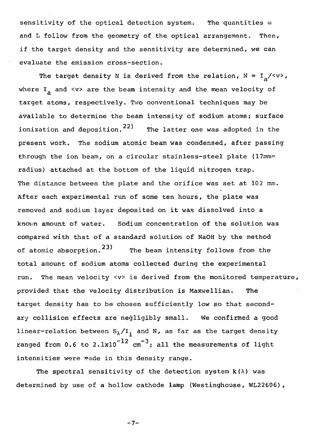sensitivity of the optical detection system. The quantities  $\omega$ and L follow from the geometry of the optical arrangement. Then, if the target density and the sensitivity are determined, we can evaluate the emission cross-section.

The target density N is derived from the relation,  $N = I_2/\langle v \rangle$ , where  $I_a$  and  $\langle v \rangle$  are the beam intensity and the mean velocity of target atoms, respectively. Two conventional techniques may be available to determine the beam intensity of sodium atoms; surface ionization and deposition. $^{22)}$  ) The latter one was adopted in the present work. The sodium atomic beam was condensed, after passing through the ion beam, on a circular stainless-steel plate (17mm= radius) attached at the bottom of the liquid nitrogen trap. The distance between the plate and the orifice was set at 102 mm. After each experimental run of some ten hours, the plate was removed and sodium layer deposited on it was dissolved into a knov/n amount of water. Sodium concentration of the solution was compared with that of a standard solution of NaOH by the method of atomic absorption.  $23$ ) The beam intensity follows from the total amount of sodium atoms collected during the experimental run. The mean velocity <v> is derived from the monitored temperature, provided that the velocity distribution is Maxwellian. The target density has to be chosen sufficiently low so that secondary collision effects are negligibly small. We confirmed a good linear-relation between  $S_{\lambda}/I$ . and N, as far as the target density ranged from 0.6 to 2.1x10<sup>-12</sup> cm<sup>-3</sup>; all the measurements of light intensities were made in this density range.

The spectral sensitivity of the detection system  $k(\lambda)$  was determined by use of a hollow cathode lamp (Westinghouse, WL22606),

-7-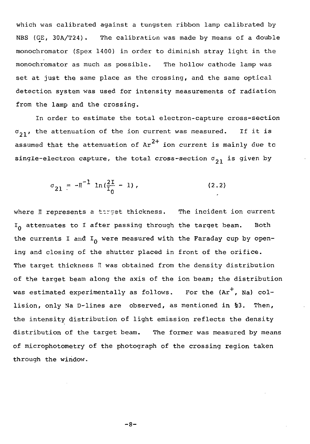which was calibrated against a tungsten ribbon lamp calibrated by NBS (GE, 30A/T24). The calibration was made by means of a double monochromator (Spex 1400) in order to diminish stray light in the monochromator as much as possible. The hollow cathode lamp was set at just the same place as the crossing, and the same optical detection system was used for intensity measurements of radiation from the lamp and the crossing.

In order to estimate the total electron-capture cross-section  $\sigma_{\rm 21'}$ , the attenuation of the ion current was measured. If it is assumed that the attenuation of Ar $^{2+}$  ion current is mainly due tc single-electron capture, the total cross-section  $\sigma_{21}$  is given by

$$
\sigma_{21} = -\pi^{-1} \ln(\frac{2\pi}{I_0} - 1), \qquad (2.2)
$$

where I represents a target thickness. The incident ion current  $I_{\Omega}$  attenuates to I after passing through the target beam. Both the currents I and  $I_0$  were measured with the Faraday cup by opening and closing of the shutter placed in front of the orifice. The target thickness II was obtained from the density distribution of the target beam along the axis of the ion beam; the distribution was estimated experimentally as follows. For the  $(\text{Ar}^+, \text{Na})$  collision, only Ma D-lines are observed, as mentioned in %3. Then, the intensity distribution of light emission reflects the density distribution of the target beam. The former was measured by means of microphotometry of the photograph of the crossing region taken through the window.

 $-8-$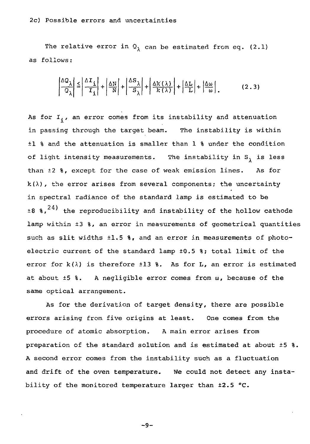The relative error in  $Q_{\lambda}$  can be estimated from eq. (2.1) as follows:

$$
\left|\frac{\Delta Q_{\lambda}}{Q_{\lambda}}\right| \le \left|\frac{\Delta T_{\perp}}{T_{\perp}}\right| + \left|\frac{\Delta N}{N}\right| + \left|\frac{\Delta S_{\lambda}}{S_{\lambda}}\right| + \left|\frac{\Delta K\left(\lambda\right)}{K\left(\lambda\right)}\right| + \left|\frac{\Delta L}{L}\right| + \left|\frac{\Delta M}{N}\right| \tag{2.3}
$$

As for  $I_i$ , an error comes from its instability and attenuation in passing through the target beam. The instability is within ±1 % and the attenuation is smaller than 1 % under the condition of light intensity measurements. The instability in S, is less than ±2 %, except for the case of weak emission lines. As for  $k(\lambda)$ , the error arises from several components; the uncertainty in spectral radiance of the standard lamp is estimated to be  $\pm 8$   $\ast$ , $^{24)}$  the reproducibility and instability of the hollow cathode lamp within ±3 %, an error in measurements of geometrical quantities such as slit widths  $\pm 1.5$  %. and an error in measurements of photoelectric current of the standard lamp ±0.5 %; total limit of the error for  $k(\lambda)$  is therefore  $\pm 13$  %. As for L, an error is estimated at about  $\pm 5$  %. A negligible error comes from  $\omega$ , because of the same optical arrangement.

As for the derivation of target density, there are possible errors arising from five origins at least. One comes from the procedure of atomic absorption. A main error arises from preparation of the standard solution and is estimated at about ±5 %. A second error comes from the instability such as a fluctuation and drift of the oven temperature. We could not detect any instability of the monitored temperature larger than ±2.5 °C.

```
-9-
```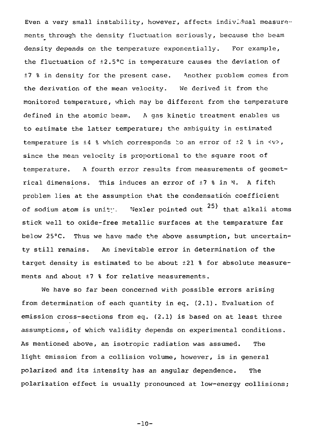Even a very small instability, however, affects individual measurements through the density fluctuation seriously, because the beam density depends on the temperature exponentially. For example, the fluctuation of ±2.5°C in temperature causes the deviation of ±7 % in density for the present case. Mother problem comes from the derivation of the mean velocity. We derived it from the monitored temperature, which may be different from the temperature defined in the atomic beam. A gas kinetic treatment enables us to estimate the latter temperature; the ambiguity in estimated temperature is  $\pm 4$  % which corresponds to an error of  $\pm 2$  % in  $\langle v \rangle$ , since the mean velocity is proportional to the square root of temperature. A fourth error results from measurements of geometrical dimensions. This induces an error of ±7 % in N. A fifth problem lies at the assumption that the condensation coefficient of sodium atom is unity. Wexler pointed out  $^{25)}$  that alkali atoms stick well to oxide-free metallic surfaces at the temparature far below 25°C. Thus we have made the above assumption, but uncertainty still remains. An inevitable error in determination of the target density is estimated to be about ±21 % for absolute measurements and about ±7 % for relative measurements.

We have so far been concerned with possible errors arising from determination of each quantity in eq. (2.1). Evaluation of emission cross-sections from eq. (2.1) is based on at least three assumptions, of which validity depends on experimental conditions. As mentioned above, an isotropic radiation was assumed. The light emission from a collision volume, however, is in general polarized and its intensity has an angular dependence. The polarization effect is usually pronounced at low-energy collisions;

 $-10-$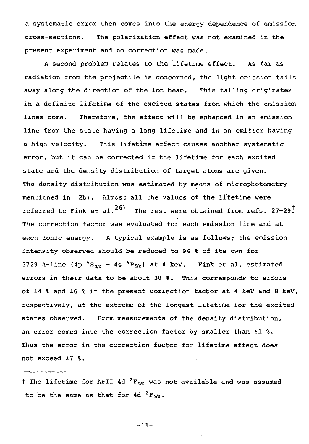a systematic error then comes into the energy dependence of emission cross-sections. The polarization effect was not examined in the present experiment and no correction was made.

A second problem relates to the lifetime effect. As far as radiation from the projectile is concerned, the light emission tails away along the direction of the ion beam. This tailing originates in a definite lifetime of the excited states from which the emission lines come. Therefore; the effect will be enhanced in an emission line from the state having a long lifetime and in an emitter having a high velocity. This lifetime effect causes another systematic error, but it can be corrected if the lifetime for each excited . state and the density distribution of target atoms are given. The density distribution was estimated by means of microphotometry mentioned in 2b). Almost all the values of the lifetime were referred to Fink et al.<sup>26)</sup> The rest were obtained from refs. 27-29<sup>T</sup> The correction factor was evaluated for each emission line and at each ionic energy. A typical example is as follows; the emission intensity observed should be reduced to 94 % of its own for 3729 A-line (4p  $^*S_{3/2}$  + 4s  $^4P_{5/2}$ ) at 4 keV. Fink et al. estimated errors in their data to be about 30 %. This corresponds to errors of  $\pm 4$  % and  $\pm 6$  % in the present correction factor at 4 keV and 8 keV, respectively, at the extreme of the longest lifetime for the excited states observed. From measurements of the density distribution, an error comes into the correction factor by smaller than ±1 %. Thus the error in the correction factor for lifetime effect does not exceed  $\pm 7$  %.

-11-

<sup>†</sup> The lifetime for ArII 4d <sup>2</sup>F<sub>5/2</sub> was not available and was assumed to be the same as that for 4d <sup>2</sup>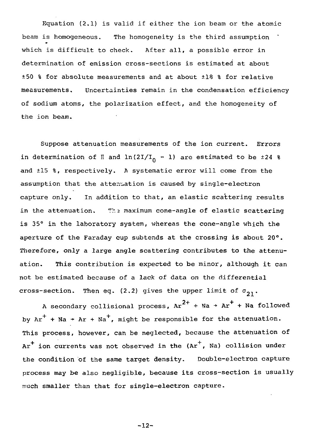Equation (2.1) is valid if either the ion beam or the atomic beam is homogeneous. The homogeneity is the third assumption which is difficult to check. After all, a possible error in determination of emission cross-sections is estimated at about +50 % for absolute measurements and at about ±18 % for relative measurements. Uncertainties remain in the condensation efficiency of sodium atoms, the polarization effect, and the homogeneity of the ion beam.

Suppose attenuation measurements of the ion current. Errors in determination of II and  $\ln(2I/I_n - I)$  are estimated to be  $\pm 24$  % and ±15 %, respectively. A systematic error will come from the assumption that the attenuation is caused by single-electron capture only. In addition to that, an elastic scattering results in the attenuation. The maximum cone-angle of elastic scattering is 35° in the laboratory system, whereas the cone-angle which the aperture of the Faraday cup subtends at the crossing is about 20°. Therefore, only a large angle scattering contributes to the attenuation. This contribution is expected to be minor, although it can not be estimated because of a lack of data on the differential cross-section. Then eq. (2.2) gives the upper limit of  $\sigma_{21}$ .

A secondary collisional process,  $Ar^{2+}$  + Na +  $Ar^{+}$  + Na followed by  $Ar^+$  + Na + Ar + Na<sup>+</sup>, might be responsible for the attenuation. This process, however, can be neglected, because the attenuation of  $Ar^+$  ion currents was not observed in the ( $Ar^+$ , Na) collision under the condition of the same target density. Double-electron capture process may be also negligible, because its cross-section is usually much smaller than that for single-electron capture.

-12-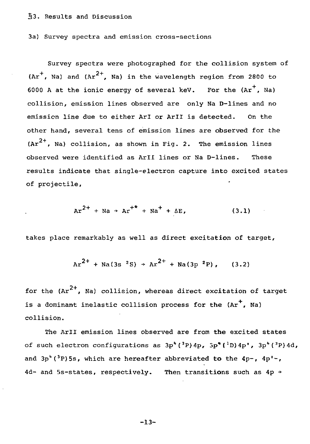#### §3. Results and Discussion

3a) Survey spectra and emission cross-sections

Survey spectra were photographed for the collision system of  $Ar^+$ . Na) and  $Ar^{2+}$ . Na) in the wavelength region from 2800 to 6000 A at the ionic energy of several keV. For the  $(\text{Ar}^+$ . Na) collision, emission lines observed are only Na D-lines and no emission line due to either ArI or ArII is detected. On the other hand, several tens of emission lines are observed for the  $\left(\text{Ar}^{2+}$ , Na) collision, as shown in Fig. 2. The emission lines observed were identified as Aril lines or Na D-lines. These results indicate that single-electron capture into excited states of projectile,

$$
Ar^{2+} + Na \rightarrow Ar^{+*} + Na^{+} + \Delta E, \qquad (3.1)
$$

takes place remarkably as well as direct excitation of target,

$$
Ar^{2+}
$$
 + Na(3s<sup>2</sup>S) + Ar<sup>2+</sup> + Na(3p<sup>2</sup>P), (3.2)

for the (Ar $^{2+}$ , Na) collision, whereas direct excitation of target is a dominant inelastic collision process for the  $(\text{Ar}^+, \text{Na})$ collision.

The Aril emission lines observed are from the excited states of such electron configurations as  $3p^4$  (<sup>3</sup>P)  $4p$ ,  $3p^4$  (<sup>1</sup>D)  $4p^4$ ,  $3p^4$  (<sup>3</sup>P)  $4d$ , and  $3p^4$  ( $3p$ )5s, which are hereafter abbreviated to the  $4p^2$ ,  $4p^1$ . 4d- and 5s-states, respectively. Then transitions such as  $4p \rightarrow$ 

-13-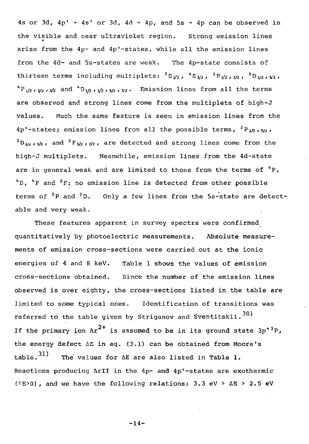4s or 3d,  $4p' \rightarrow 4s'$  or 3d,  $4d \rightarrow 4p$ , and 5s  $\rightarrow 4p$  can be observed in the visible and near ultraviolet region. Strong emission lines arise from the 4p- and 4p'-states, while all the emission lines from the 4d- and 5s-states are weak. The 4p-state consists of thirteen terms including multiplets:  ${}^{2}S_{\frac{1}{2}}$ ,  ${}^{4}S_{\frac{3}{2}}$ ,  ${}^{2}P_{\frac{1}{2}}$ ,  ${}^{3}Z$ ,  ${}^{2}D_{\frac{3}{2}}$ ,  ${}^{4}Z$  ${}^{4}P_{1/2}$ ,  ${}_{3/2}$ ,  ${}_{5/2}$  and  ${}^{4}D_{1/2}$ ,  ${}_{3/2}$ ,  ${}_{5/2}$ ,  ${}_{7/2}$ . Emission lines from all the terms are observed and strong lines come from the multiplets of high-J values. Much the same feature is seen in emission lines from the  $4p^*$ -states; emission lines from all the possible terms,  $^2\rm{P}_{3/2}$ ,s/2,  $^2$ D<sub>3/z</sub>,<sub>5</sub>/<sub>2</sub>, and  $^2$ F<sub>5/2</sub>,<sub>7</sub>/<sub>2</sub>, are detected and strong lines come from the high-J multiplets. Meanwhile, emission lines from the 4d-state are in general weak and are limited to those from the terms of  ${}^{4}P$ ,  $1D$ ,  $1F$  and  $2F$ ; no emission line is detected from other possible terms of <sup>2</sup>P and <sup>2</sup>D. Only a few lines from the 5s-state are detect able and very weak.

These features apparent in survey spectra were confirmed quantitatively by photoelectric measurements. Absolute measurements of emission cross-sections were carried out at the ionic energies of 4 and 8 keV. Table 1 shows the values of emission cross-sections obtained. Since the number of the emission lines observed is over eighty, the cross-sections listed in the table are limited to some typical ones. Identification of transitions was referred to the table given by Striganov and Sventitskii.<sup>30)</sup> If the primary ion  $Ar^{2+}$  is assumed to be in its ground state  $3p^*{}^{3}P$ , the energy defect  $\Delta E$  in eq. (3.1) can be obtained from Moore's table.<sup>31)</sup> The values for  $\Delta E$  are also listed in Table 1. Reactions producing Aril in the 4p- and 4p'-states are exothermic  $(AB>0)$ , and we have the following relations; 3.3 eV >  $\Delta E$  > 2.5 eV

-14-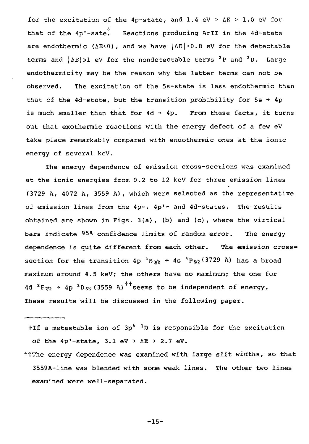for the excitation of the 4p-state, and 1.4 eV >  $\Delta E$  > 1.0 eV for that of the 4p'-sate. Reactions producing Aril in the 4d-state are endothermic ( $\Delta E < 0$ ), and we have  $|\Delta E| < 0.8$  eV for the detectable terms and  $\Delta E$ |>1 eV for the nondetectable terms  $^2$ P and  $^2$ D. Large endothermicity may be the reason why the latter terms can not be observed. The excitation of the 5s-state is less endothermic than that of the 4d-state, but the transition probability for  $5s + 4p$ is much smaller than that for  $4d + 4p$ . From these facts, it turns out that exothermic reactions with the energy defect of a few eV take place remarkably compared with endothermic ones at the ionic energy of several keV.

The energy dependence of emission cross-sections was examined at the ionic energies from 0.2 to 12 keV for three emission lines (3729 A, 4072 A, 3559 A) , which were selected as the representative of emission lines from the  $4p-, 4p'-$  and  $4d$ -states. The results obtained are shown in Figs. 3(a), (b) and (c), where the virtical bars indicate 95% confidence limits of random error. The energy dependence is quite different from each other. The emission cross= section for the transition 4p  $S_{3/2}$   $\rightarrow$  4s  ${}^{4}P_{5/2}(3729$  A) has a broad maximum around 4.5 keV; the others have no maximum; the one for 4d  ${}^{2}F_{7/2}$  + 4p  ${}^{2}D_{5/2}$  (3559 A)<sup>††</sup>seems to be independent of energy These results will be discussed in the following paper.

 $\dagger$ If a metastable ion of 3p<sup>4</sup> <sup>1</sup>D is responsible for the excitation of the  $4p'$ -state,  $3.1$  eV >  $\Delta E$  > 2.7 eV.

t+The energy dependence was examined with large slit widths, so that 3559A-line was blended with some weak lines. The other two lines examined were well-separated.

-15-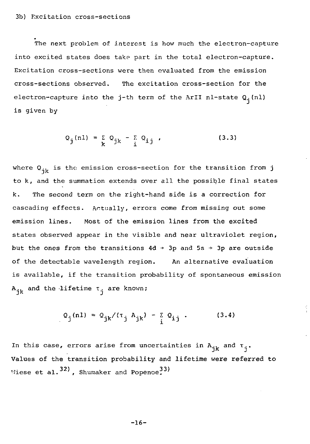The next problem of interest is how much the electron-capture into excited states does take part in the total electron-capture. Excitation cross-sections were then evaluated from the emission cross-sections observed. The excitation cross-section for the electron-capture into the j-th term of the ArII nl-state  $Q_i(nl)$ is given by

$$
Q_{j}(nl) = \sum_{k} Q_{jk} - \sum_{i} Q_{ij} \qquad (3.3)
$$

where  $Q_{ik}$  is the emission cross-section for the transition from j to k, and the summation extends over all the possible final states k. The second term on the right-hand side is a correction for cascading effects. Actually, errors come from missing out some emission lines. Most of the emission lines from the excited states observed appear in the visible and near ultraviolet region, but the ones from the transitions  $4d \rightarrow 3p$  and  $5s \rightarrow 3p$  are outside of the detectable wavelength region. An alternative evaluation is available, if the transition probability of spontaneous emission  $A_{ik}$  and the lifetime  $\tau_{i}$  are known;

$$
Q_j(n1) = Q_{jk}/(\tau_j A_{jk}) - \sum_i Q_{ij}.
$$
 (3.4)

In this case, errors arise from uncertainties in  $A_{ik}$  and  $T_{i}$ . ر .<br>-Viese et al.<sup>32)</sup>, Shumaker and Popenoe<sup>33)</sup>

 $-16-$ 

<sup>T</sup>7iese et al. , Shuinaker and Popenoe.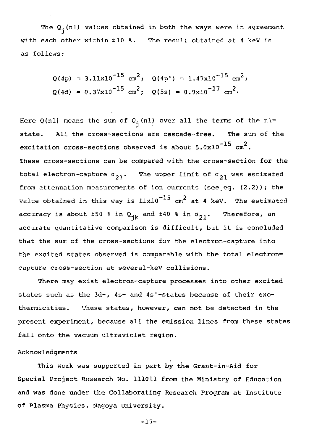The  $Q_i(nl)$  values obtained in both the ways were in agreement with each other within ±10 %. The result obtained at 4 keV is as follows:

$$
Q(4p) = 3.11 \times 10^{-15} \text{ cm}^2
$$
;  $Q(4p') = 1.47 \times 10^{-15} \text{ cm}^2$ ;  
 $Q(4d) = 0.37 \times 10^{-15} \text{ cm}^2$ ;  $Q(5s) = 0.9 \times 10^{-17} \text{ cm}^2$ .

Here Q(nl) means the sum of  $Q_1(nl)$  over all the terms of the nl= state. All the cross-sections are cascade-free. The sum of the excitation cross-sections observed is about  $5.0x10^{-15}$   $cm^2$ . These cross-sections can be compared with the cross-section for the total electron-capture  $\sigma_{21}$ . The upper limit of  $\sigma_{21}$  was estimated from attenuation measurements of ion currents (see eq.  $(2.2)$ ); the value obtained in this way is  $11 \times 10^{-15}$  cm<sup>2</sup> at 4 keV. The estimated accuracy is about  $\pm 50$  % in  $Q_{ik}$  and  $\pm 40$  % in  $\sigma_{21}$ . Therefore, an accurate quantitative comparison is difficult, but it is concluded that the sum of the cross-sections for the electron-capture into the excited states observed is comparable with the total electron= capture cross-section at several-keV collisions.

There may exist electron-capture processes into other excited states such as the  $3d-$ ,  $4s-$  and  $4s'$ -states because of their exothermicities. These states, however, can not be detected in the present experiment, because all the emission lines from these states fall onto the vacuum ultraviolet region.

# Acknowledgments

This work was supported in part by the Grant-in-Aid for Special Project Research No. 111011 from the Ministry of Education and was done under the Collaborating Research Program at Institute of Plasma Physics, Nagoya University.

-17-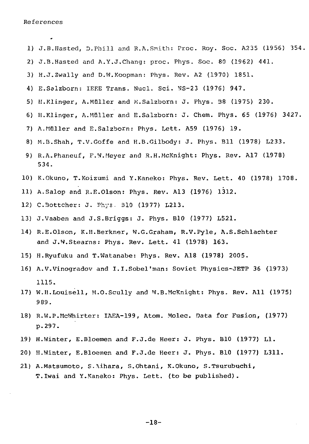References

- 1) J.B.Hasted, D.Phill and R.A.Smith: Proc. Roy. Soc. A235 (1956) 354, 2) J.B.Hasted and A.Y.J.Chang: proc. Phys. Soc. 80 (1962) 441. 3) H.J.Zwally and D.W.Koopman: Phys. Rev. A2 (1970) 1851. 4) E.Salzborn: IEEE Trans. Nucl. Sci. NS-23 (1976) 947. 5) II.Klinger, A.Muller and K.Salzborn: J. Phys. B8 (1975) 230. 6) H.Klinger, A.Muller and E.Salzborn: J. Chem. Phys. 65 (1976) 3427. 7) A.Muller and E.Salzborn: Phys. Lett. A59 (1976) 19. 8) M.B.Shah, T.V.Goffe and H.B.Gilbody: J. Phys. Bll (1978) L233. 9) R.A.Phaneuf, F.W.Meyer and R.H.McKnight: Phys. Rev. Al7 (1978) 534. 10) K.Okuno, T.Koizumi and Y.Kaneko: Phys. Rev. Lett. 40 (1978) 1708. 11) A.Salop and R.E.Olson: Phys. Rev. A13 (1976) 1312. 12) C.3ottcher: J. Phys. 310 (1977) L213. 13) J.Vaaben and J.S.Briggs: J. Phys. B10 (1977) L521. 14) R.E.Olson, K.H.Berkner, W.G.Graham, R.V.Pyle, A.S.Schlachter and J.W.Stearns: Phys. Rev. Lett. 41 (1978) 163. 15) H.Ryufuku and T.Watanabe: Phys. Rev. A18 (1978) 2005. 16) A.V.Vinogradov and I.I.Sobel'man: Soviet Physics-JETP 36 (1973) 1115. 17) W.H.Louisell, M.O.Scully and W.B.McKnight: Phys. Rev. All (1975) 9 89. 18) R.W.P.McWhirter: IAEA-199, Atom. Molec. Data for Fusion, (1977) p.297. 19) H.Winter, E.Bloemen and F.J.de Heer: J. Phys. B10 (1977) Ll. 20) H.Winter, E.Bloemen and F.J.de Heer: J. Phys. B10 (1977) L311.
- 21) A.Matsumoto, S.\ihara, S.Ohtani, K.Okuno, S.Tsurubuchi, T.Iwai and Y.Kaneko: Phys. Lett, (to be published).

-18-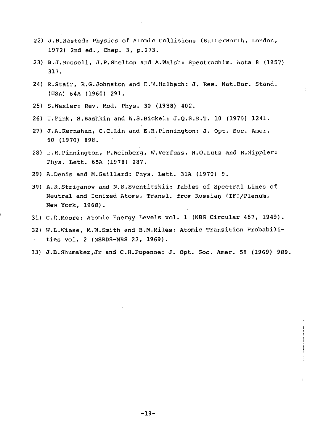- 22) J.B.Hasted: Physics of Atomic Collisions (Butterworth, London, 1972) 2nd ed.. Chap. 3, p.273.
- 23) B.J.Russell, J.P.Shelton and A.Walsh: Spectrochim. Acta 8 (1957) 317.
- 24) R.Stair, R.G.Johnston and E.W.Halbach: J. Res. Nat.Bur. Stand. (USA) 64A (1960) 291.
- 25) S.Wexler: Rev. Mod. Phys. 30 (19S8) 402.
- 26) U.Pink, S.Bashkin and W.S.Bickel: J.Q.S.R.T. 10 (1970) 1241.
- 27) J.A.Kernahan, C.C.Lin and E.H.Pinnington: J. Opt. Soc. Amer. 60 (1970) 898.
- 28) E.H.Pinnington, P.Weinberg, W.Verfuss, H.O.Lutz and R.Hippler: Phys. Lett. 65A (1978) 287.
- 29) A.Denis and M.Gaillard: Phys. Lett. 31A (1970) 9.
- 30) A.R.Striganov and N.S.Sventitskii: Tables of Spectral Lines of Neutral and Ionized Atoms, Transl. from Russian (IFI/Plenum, New York, 1968) .
- 31) C.E.Moore: Atomic Energy Levels vol. 1 (NBS Circular 467, 1949).
- 32) W.L.Wiese, M.W.Smith and B.M.Miles: Atomic Transition Probabili- $\mathbf{v}$ ties vol. 2 (NSRDS-NBS 22, 1969).
- 33) J.B.Shumaker.Jr and C.H.Popenoe: J. Opt. Soc. Amer. 59 (1969) 980.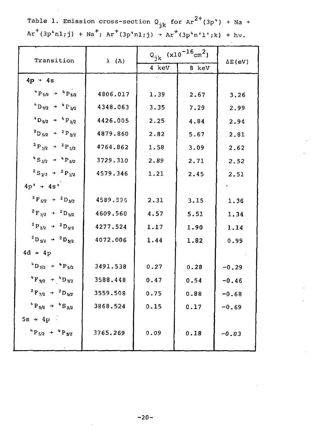Table 1. Emission cross-section  $Q_{4\nu}$  for Ar<sup>2+</sup>(3p<sup>+</sup>) + Na +  $Ar^+(3p^*n1;j) + Na^+; Ar^+(3p^*n1;j) + Ar^+(3p^*n'1';k) + hv.$ 

| Transition                                                               | $\lambda$ (A) | $Q_{jk}$ (x10 <sup>-16</sup> cm <sup>2</sup> ) |       | $\Delta E$ (eV) |
|--------------------------------------------------------------------------|---------------|------------------------------------------------|-------|-----------------|
|                                                                          |               | 4 keV                                          | 8 keV |                 |
| $4p + 4s$                                                                |               |                                                |       |                 |
| $4 P_{5/2} \rightarrow 4 P_{5/2}$                                        | 4806.017      | 1.39                                           | 2.67  | 3.26            |
| $^4$ D $\eta\prime2$ $\;\rightarrow\;\;$ $^4$ P $_{5/2}$                 | 4348.063      | 3.35                                           | 7.29  | 2.99            |
| $4 D_{5/2}$ + $4 P_{3/2}$                                                | 4426.005      | 2.25                                           | 4.84  | 2.94            |
| $^{2}D_{5/2}$ + $^{2}P_{3/2}$                                            | 4879.860      | 2.82                                           | 5.67  | 2.81            |
| $^{2}P_{3/2}$ + $^{2}P_{1/2}$                                            | 4764.862      | 1.58                                           | 3.09  | 2.62            |
| $4 S_{3/2}$ + $4 P_{5/2}$                                                | 3729.310      | 2.89                                           | 2.71  | 2.52            |
| ${}^2S_{1/2}$ + ${}^2P_{1/2}$                                            | 4579.346      | 1.21                                           | 2.45  | 2.51            |
| $4p' + 4s'$                                                              |               |                                                |       |                 |
| ${}^{2}F_{5/2}$ + ${}^{2}D_{3/2}$                                        | 4589.896      | 2.31                                           | 3.15  | 1.36            |
| $^2$ F $_{\rm 7/2}$ $\,$ + $\,$ $^2$ D $_{\rm 5/2}$                      | 4609.560      | 4.57                                           | 5.51  | 1.34            |
| $^{2}P_{3/2}$ + $^{2}D_{5/2}$                                            | 4277.524      | 1.17                                           | 1.90  | 1.14            |
| ${}^2D_{5/2}$ + ${}^2D_{5/2}$                                            | 4072.006      | 1.44                                           | 1.82  | 0.99            |
| $4d + 4p$                                                                |               |                                                |       |                 |
| $^{4}D_{7/2}$ + $^{4}P_{5/2}$                                            | 3491.538      | 0.27                                           | 0.28  | $-0.29$         |
| $4 F_{9/2}$ + $4 D_{7/2}$                                                | 3588.448      | 0.47                                           | 0.54  | $-0.46$         |
| $^2$ F $_{7/2}$ $\hspace{1.2cm} \rightarrow \hspace{1.2cm}^2$ D $_{5/2}$ | 3559.508      | 0.75                                           | 0.88  | $-0.68$         |
| $4 P_{5/2}$ + $4 S_{3/2}$                                                | 3868.524      | 0.15                                           | 0.17  | $-0.69$         |
| $5s + 4p$                                                                |               |                                                |       |                 |
| $^{4}P_{5/2}$ + $^{4}P_{5/2}$                                            | 3765.269      | 0.09                                           | 0.18  | $-0.03$         |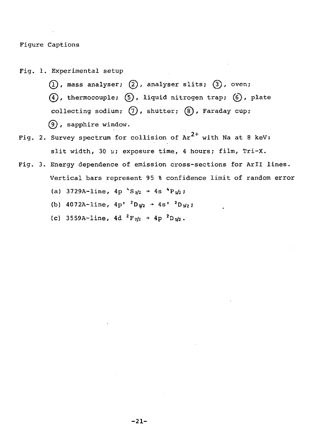Figure Captions

- Fig. 1. Experimental setup
	- $(1)$ , mass analyser;  $(2)$ , analyser slits;  $(3)$ , oven;  $(4)$ , thermocouple;  $(5)$ , liquid nitrogen trap;  $(6)$ , plate collecting sodium;  $(7)$ , shutter;  $(8)$ , Faraday cup; (5), sapphire window.
- Fig. 2. Survey spectrum for collision of  $Ar^{2+}$  with Na at 8 keV: slit width, 30 µ; exposure time, 4 hours; film, Tri-X.
- Fig. 3. Energy dependence of emission cross-sections for Aril lines. Vertical bars represent 95 % confidence limit of random error (a) 3729A-line,  $4p^4S_{3/2}$  +  $4s^4P_{5/2}$ ;
	- (b)  $4072A-Line$ ,  $4p'$   $2D_{5/2}$   $\rightarrow$   $4s'$
	- (c) 3559A-line, 4d  ${}^{2}F_{7/2}$  + 4p  ${}^{2}D_{5/2}$ .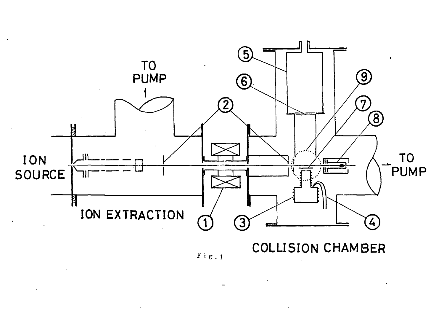

**i** *g* **. 1**

 $\sigma_{\rm{max}}=100$ 

 $\lambda_{\rm{max}}$  and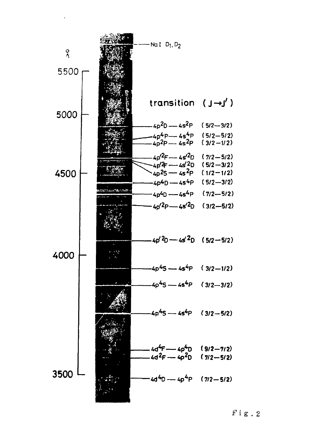

**. 2**